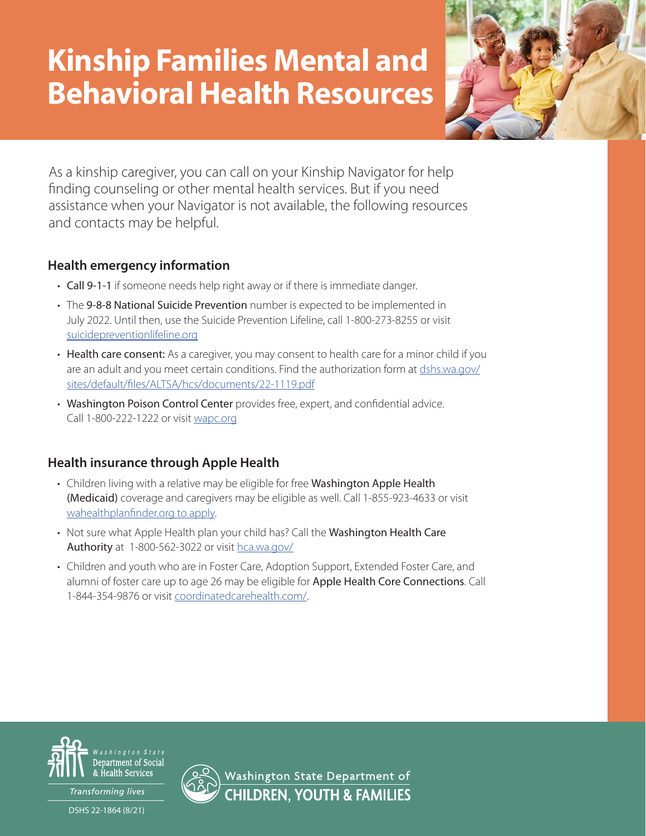# Kinship Families Mental and Behavioral Health Resources



As a kinship caregiver, you can call on your Kinship Navigator for help finding counseling or other mental health services. But if you need assistance when your Navigator is not available, the following resources and contacts may be helpful.

## **Health emergency information**

- Call 9-1-1 if someone needs help right away or if there is immediate danger.
- The 9-8-8 National Suicide Prevention number is expected to be implemented in July 2022. Until then, use the Suicide Prevention Lifeline, call 1-800-273-8255 or visit [suicidepreventionlifeline.org](https://suicidepreventionlifeline.org)
- Health care consent: As a caregiver, you may consent to health care for a minor child if you are an adult and you meet certain conditions. Find the authorization form at [dshs.wa.gov/](https://www.dshs.wa.gov/sites/default/files/ALTSA/hcs/documents/22-1119.pdf) [sites/default/files/ALTSA/hcs/documents/22-1119.pdf](https://www.dshs.wa.gov/sites/default/files/ALTSA/hcs/documents/22-1119.pdf)
- Washington Poison Control Center provides free, expert, and confidential advice. Call 1-800-222-1222 or visit [wapc.org](http://www.wapc.org)

## **Health insurance through Apple Health**

- Children living with a relative may be eligible for free Washington Apple Health (Medicaid) coverage and caregivers may be eligible as well. Call 1-855-923-4633 or visit [wahealthplanfinder.org to apply.](https://www.wahealthplanfinder.org)
- Not sure what Apple Health plan your child has? Call the Washington Health Care Authority at 1-800-562-3022 or visit [hca.wa.gov/](https://www.hca.wa.gov)
- Children and youth who are in Foster Care, Adoption Support, Extended Foster Care, and alumni of foster care up to age 26 may be eligible for Apple Health Core Connections. Call 1-844-354-9876 or visit [coordinatedcarehealth.com/.](https://www.coordinatedcarehealth.com)



Transforming lives